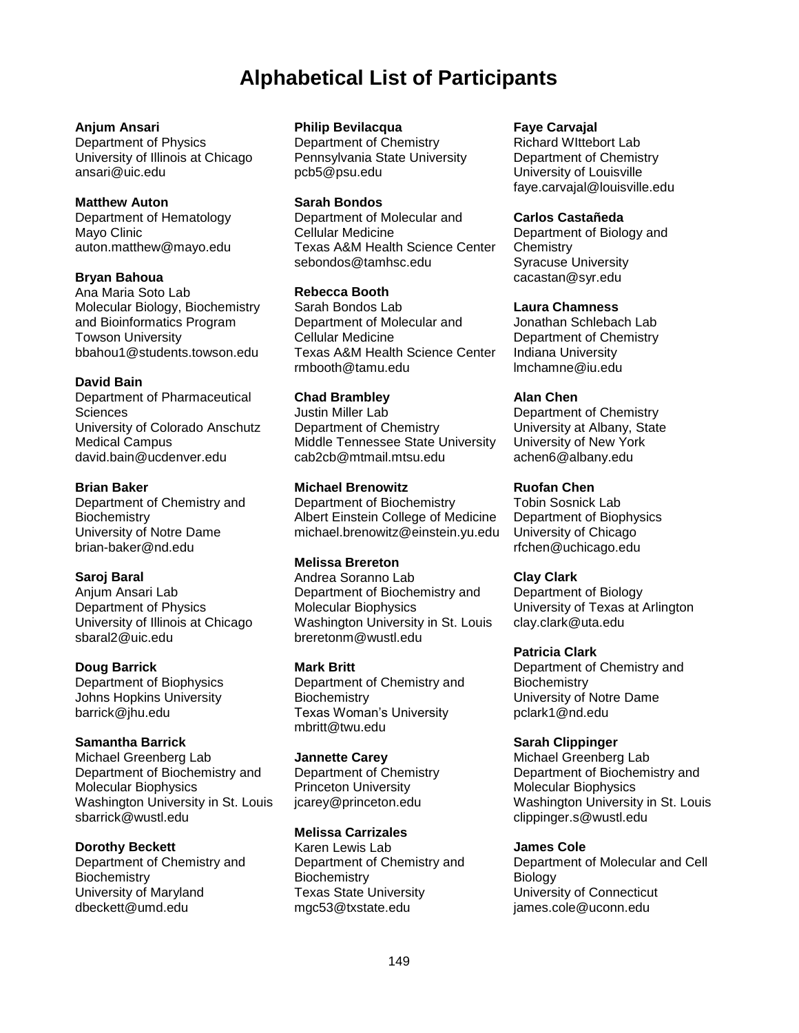# **Alphabetical List of Participants**

### **Anjum Ansari**

Department of Physics University of Illinois at Chicago ansari@uic.edu

### **Matthew Auton**

Department of Hematology Mayo Clinic auton.matthew@mayo.edu

### **Bryan Bahoua**

Ana Maria Soto Lab Molecular Biology, Biochemistry and Bioinformatics Program Towson University bbahou1@students.towson.edu

### **David Bain**

Department of Pharmaceutical **Sciences** University of Colorado Anschutz Medical Campus david.bain@ucdenver.edu

### **Brian Baker**

Department of Chemistry and **Biochemistry** University of Notre Dame brian-baker@nd.edu

### **Saroj Baral**

Anjum Ansari Lab Department of Physics University of Illinois at Chicago sbaral2@uic.edu

### **Doug Barrick**

Department of Biophysics Johns Hopkins University barrick@jhu.edu

### **Samantha Barrick**

Michael Greenberg Lab Department of Biochemistry and Molecular Biophysics Washington University in St. Louis sbarrick@wustl.edu

### **Dorothy Beckett**

Department of Chemistry and **Biochemistry** University of Maryland dbeckett@umd.edu

### **Philip Bevilacqua**

Department of Chemistry Pennsylvania State University pcb5@psu.edu

### **Sarah Bondos**

Department of Molecular and Cellular Medicine Texas A&M Health Science Center sebondos@tamhsc.edu

### **Rebecca Booth**

Sarah Bondos Lab Department of Molecular and Cellular Medicine Texas A&M Health Science Center rmbooth@tamu.edu

### **Chad Brambley**

Justin Miller Lab Department of Chemistry Middle Tennessee State University cab2cb@mtmail.mtsu.edu

### **Michael Brenowitz**

Department of Biochemistry Albert Einstein College of Medicine michael.brenowitz@einstein.yu.edu

### **Melissa Brereton**

Andrea Soranno Lab Department of Biochemistry and Molecular Biophysics Washington University in St. Louis breretonm@wustl.edu

### **Mark Britt**

Department of Chemistry and **Biochemistry** Texas Woman's University mbritt@twu.edu

### **Jannette Carey**

Department of Chemistry Princeton University jcarey@princeton.edu

### **Melissa Carrizales**

Karen Lewis Lab Department of Chemistry and **Biochemistry** Texas State University mgc53@txstate.edu

### **Faye Carvajal**

Richard WIttebort Lab Department of Chemistry University of Louisville faye.carvajal@louisville.edu

### **Carlos Castañeda**

Department of Biology and **Chemistry** Syracuse University cacastan@syr.edu

### **Laura Chamness**

Jonathan Schlebach Lab Department of Chemistry Indiana University lmchamne@iu.edu

### **Alan Chen**

Department of Chemistry University at Albany, State University of New York achen6@albany.edu

### **Ruofan Chen**

Tobin Sosnick Lab Department of Biophysics University of Chicago rfchen@uchicago.edu

### **Clay Clark**

Department of Biology University of Texas at Arlington clay.clark@uta.edu

### **Patricia Clark**

Department of Chemistry and **Biochemistry** University of Notre Dame pclark1@nd.edu

### **Sarah Clippinger**

Michael Greenberg Lab Department of Biochemistry and Molecular Biophysics Washington University in St. Louis clippinger.s@wustl.edu

### **James Cole**

Department of Molecular and Cell **Biology** University of Connecticut james.cole@uconn.edu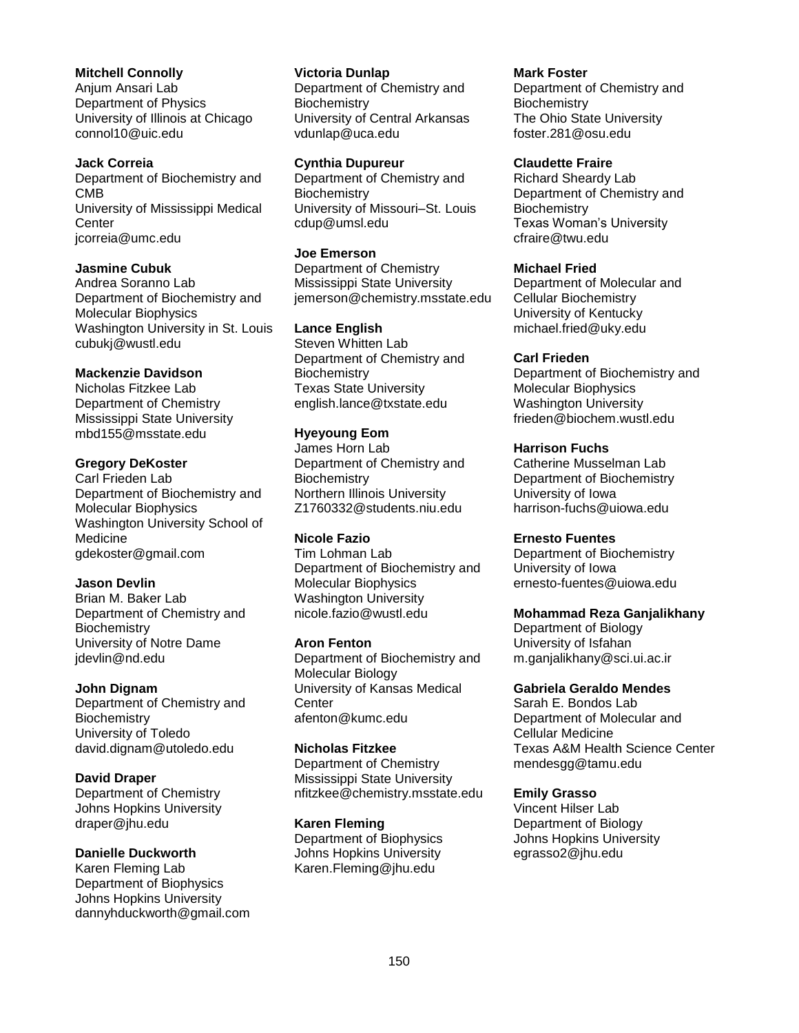#### **Mitchell Connolly**

Anjum Ansari Lab Department of Physics University of Illinois at Chicago connol10@uic.edu

#### **Jack Correia** Department of Biochemistry and CMB University of Mississippi Medical **Center** jcorreia@umc.edu

**Jasmine Cubuk**

Andrea Soranno Lab Department of Biochemistry and Molecular Biophysics Washington University in St. Louis cubukj@wustl.edu

#### **Mackenzie Davidson**

Nicholas Fitzkee Lab Department of Chemistry Mississippi State University mbd155@msstate.edu

#### **Gregory DeKoster**

Carl Frieden Lab Department of Biochemistry and Molecular Biophysics Washington University School of Medicine gdekoster@gmail.com

### **Jason Devlin**

Brian M. Baker Lab Department of Chemistry and **Biochemistry** University of Notre Dame jdevlin@nd.edu

### **John Dignam**

Department of Chemistry and **Biochemistry** University of Toledo david.dignam@utoledo.edu

### **David Draper**

Department of Chemistry Johns Hopkins University draper@jhu.edu

#### **Danielle Duckworth**

Karen Fleming Lab Department of Biophysics Johns Hopkins University dannyhduckworth@gmail.com

#### **Victoria Dunlap**

Department of Chemistry and **Biochemistry** University of Central Arkansas vdunlap@uca.edu

#### **Cynthia Dupureur**

Department of Chemistry and **Biochemistry** University of Missouri–St. Louis cdup@umsl.edu

#### **Joe Emerson**

Department of Chemistry Mississippi State University jemerson@chemistry.msstate.edu

#### **Lance English**

Steven Whitten Lab Department of Chemistry and **Biochemistry** Texas State University english.lance@txstate.edu

### **Hyeyoung Eom**

James Horn Lab Department of Chemistry and **Biochemistry** Northern Illinois University Z1760332@students.niu.edu

### **Nicole Fazio**

Tim Lohman Lab Department of Biochemistry and Molecular Biophysics Washington University nicole.fazio@wustl.edu

#### **Aron Fenton**

Department of Biochemistry and Molecular Biology University of Kansas Medical **Center** afenton@kumc.edu

#### **Nicholas Fitzkee**

Department of Chemistry Mississippi State University nfitzkee@chemistry.msstate.edu

### **Karen Fleming**

Department of Biophysics Johns Hopkins University Karen.Fleming@jhu.edu

#### **Mark Foster** Department of Chemistry and **Biochemistry** The Ohio State University foster.281@osu.edu

#### **Claudette Fraire**

Richard Sheardy Lab Department of Chemistry and **Biochemistry** Texas Woman's University cfraire@twu.edu

#### **Michael Fried**

Department of Molecular and Cellular Biochemistry University of Kentucky michael.fried@uky.edu

#### **Carl Frieden**

Department of Biochemistry and Molecular Biophysics Washington University frieden@biochem.wustl.edu

#### **Harrison Fuchs**

Catherine Musselman Lab Department of Biochemistry University of Iowa harrison-fuchs@uiowa.edu

#### **Ernesto Fuentes**

Department of Biochemistry University of Iowa ernesto-fuentes@uiowa.edu

### **Mohammad Reza Ganjalikhany**

Department of Biology University of Isfahan m.ganjalikhany@sci.ui.ac.ir

#### **Gabriela Geraldo Mendes**

Sarah E. Bondos Lab Department of Molecular and Cellular Medicine Texas A&M Health Science Center mendesgg@tamu.edu

### **Emily Grasso**

Vincent Hilser Lab Department of Biology Johns Hopkins University egrasso2@jhu.edu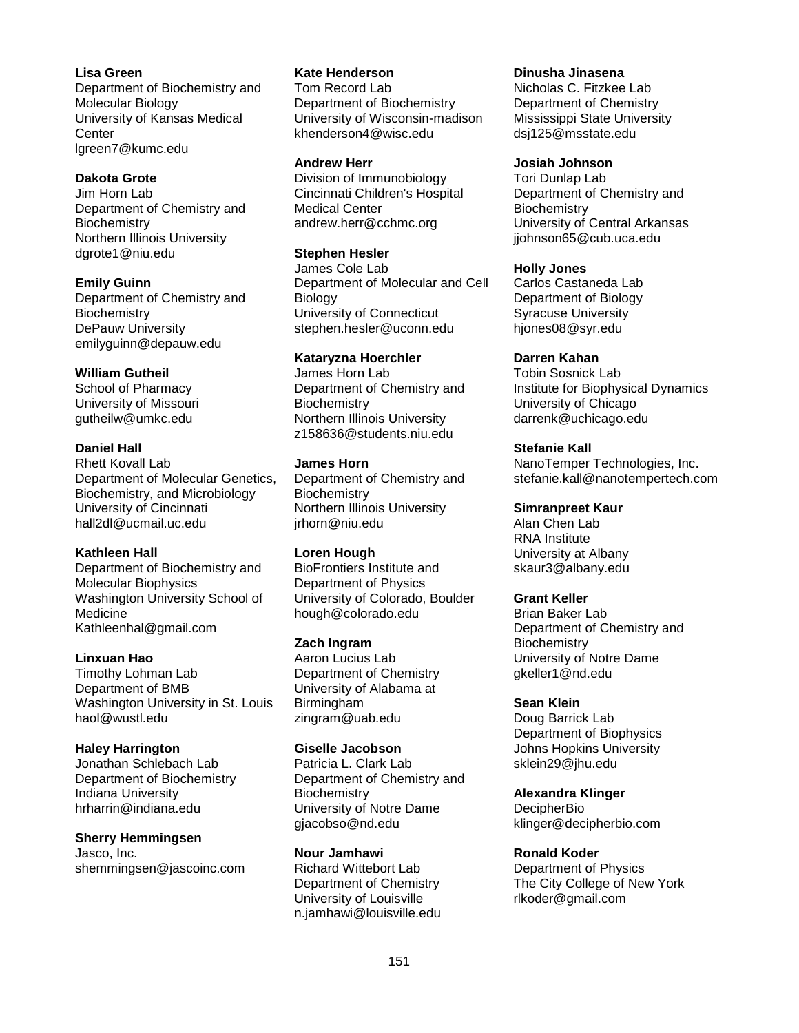**Lisa Green** Department of Biochemistry and Molecular Biology University of Kansas Medical **Center** lgreen7@kumc.edu

#### **Dakota Grote**

Jim Horn Lab Department of Chemistry and **Biochemistry** Northern Illinois University dgrote1@niu.edu

**Emily Guinn** Department of Chemistry and **Biochemistry** DePauw University emilyguinn@depauw.edu

### **William Gutheil**

School of Pharmacy University of Missouri gutheilw@umkc.edu

#### **Daniel Hall**

Rhett Kovall Lab Department of Molecular Genetics, Biochemistry, and Microbiology University of Cincinnati hall2dl@ucmail.uc.edu

#### **Kathleen Hall**

Department of Biochemistry and Molecular Biophysics Washington University School of Medicine Kathleenhal@gmail.com

**Linxuan Hao** Timothy Lohman Lab Department of BMB Washington University in St. Louis haol@wustl.edu

#### **Haley Harrington**

Jonathan Schlebach Lab Department of Biochemistry Indiana University hrharrin@indiana.edu

**Sherry Hemmingsen** Jasco, Inc.

shemmingsen@jascoinc.com

**Kate Henderson** Tom Record Lab Department of Biochemistry University of Wisconsin-madison khenderson4@wisc.edu

#### **Andrew Herr**

Division of Immunobiology Cincinnati Children's Hospital Medical Center andrew.herr@cchmc.org

#### **Stephen Hesler**

James Cole Lab Department of Molecular and Cell Biology University of Connecticut stephen.hesler@uconn.edu

#### **Kataryzna Hoerchler**

James Horn Lab Department of Chemistry and **Biochemistry** Northern Illinois University z158636@students.niu.edu

#### **James Horn**

Department of Chemistry and **Biochemistry** Northern Illinois University jrhorn@niu.edu

#### **Loren Hough**

BioFrontiers Institute and Department of Physics University of Colorado, Boulder hough@colorado.edu

#### **Zach Ingram**

Aaron Lucius Lab Department of Chemistry University of Alabama at Birmingham zingram@uab.edu

### **Giselle Jacobson**

Patricia L. Clark Lab Department of Chemistry and **Biochemistry** University of Notre Dame gjacobso@nd.edu

#### **Nour Jamhawi**

Richard Wittebort Lab Department of Chemistry University of Louisville n.jamhawi@louisville.edu **Dinusha Jinasena** Nicholas C. Fitzkee Lab Department of Chemistry Mississippi State University dsj125@msstate.edu

#### **Josiah Johnson**

Tori Dunlap Lab Department of Chemistry and **Biochemistry** University of Central Arkansas jjohnson65@cub.uca.edu

#### **Holly Jones**

Carlos Castaneda Lab Department of Biology Syracuse University hjones08@syr.edu

#### **Darren Kahan**

Tobin Sosnick Lab Institute for Biophysical Dynamics University of Chicago darrenk@uchicago.edu

#### **Stefanie Kall**

NanoTemper Technologies, Inc. stefanie.kall@nanotempertech.com

#### **Simranpreet Kaur**

Alan Chen Lab RNA Institute University at Albany skaur3@albany.edu

#### **Grant Keller**

Brian Baker Lab Department of Chemistry and **Biochemistry** University of Notre Dame gkeller1@nd.edu

#### **Sean Klein**

Doug Barrick Lab Department of Biophysics Johns Hopkins University sklein29@jhu.edu

#### **Alexandra Klinger**

**DecipherBio** klinger@decipherbio.com

#### **Ronald Koder**

Department of Physics The City College of New York rlkoder@gmail.com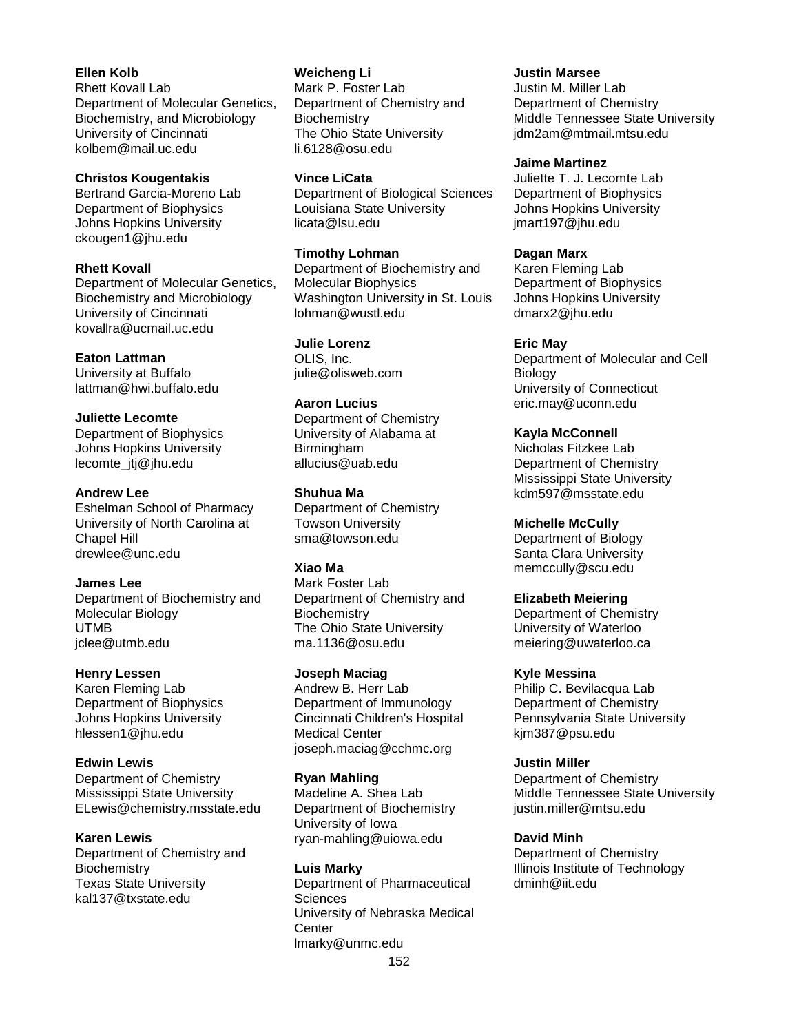**Ellen Kolb** Rhett Kovall Lab Department of Molecular Genetics, Biochemistry, and Microbiology University of Cincinnati kolbem@mail.uc.edu

#### **Christos Kougentakis**

Bertrand Garcia-Moreno Lab Department of Biophysics Johns Hopkins University ckougen1@jhu.edu

#### **Rhett Kovall**

Department of Molecular Genetics, Biochemistry and Microbiology University of Cincinnati kovallra@ucmail.uc.edu

#### **Eaton Lattman**

University at Buffalo lattman@hwi.buffalo.edu

#### **Juliette Lecomte**

Department of Biophysics Johns Hopkins University lecomte\_jtj@jhu.edu

#### **Andrew Lee**

Eshelman School of Pharmacy University of North Carolina at Chapel Hill drewlee@unc.edu

#### **James Lee**

Department of Biochemistry and Molecular Biology UTMB jclee@utmb.edu

#### **Henry Lessen**

Karen Fleming Lab Department of Biophysics Johns Hopkins University hlessen1@jhu.edu

### **Edwin Lewis**

Department of Chemistry Mississippi State University ELewis@chemistry.msstate.edu

**Karen Lewis** Department of Chemistry and **Biochemistry** Texas State University

kal137@txstate.edu

**Weicheng Li** Mark P. Foster Lab Department of Chemistry and **Biochemistry** The Ohio State University li.6128@osu.edu

**Vince LiCata** Department of Biological Sciences Louisiana State University licata@lsu.edu

**Timothy Lohman** Department of Biochemistry and Molecular Biophysics Washington University in St. Louis lohman@wustl.edu

**Julie Lorenz** OLIS, Inc. julie@olisweb.com

#### **Aaron Lucius**

Department of Chemistry University of Alabama at **Birmingham** allucius@uab.edu

**Shuhua Ma** Department of Chemistry

Towson University sma@towson.edu

### **Xiao Ma**

Mark Foster Lab Department of Chemistry and **Biochemistry** The Ohio State University ma.1136@osu.edu

**Joseph Maciag**

Andrew B. Herr Lab Department of Immunology Cincinnati Children's Hospital Medical Center joseph.maciag@cchmc.org

#### **Ryan Mahling**

Madeline A. Shea Lab Department of Biochemistry University of Iowa ryan-mahling@uiowa.edu

152 **Luis Marky** Department of Pharmaceutical **Sciences** University of Nebraska Medical **Center** lmarky@unmc.edu

**Justin Marsee** Justin M. Miller Lab Department of Chemistry Middle Tennessee State University jdm2am@mtmail.mtsu.edu

#### **Jaime Martinez**

Juliette T. J. Lecomte Lab Department of Biophysics Johns Hopkins University jmart197@jhu.edu

#### **Dagan Marx**

Karen Fleming Lab Department of Biophysics Johns Hopkins University dmarx2@jhu.edu

**Eric May**

Department of Molecular and Cell Biology University of Connecticut eric.may@uconn.edu

**Kayla McConnell** Nicholas Fitzkee Lab Department of Chemistry Mississippi State University kdm597@msstate.edu

**Michelle McCully** Department of Biology Santa Clara University memccully@scu.edu

### **Elizabeth Meiering**

Department of Chemistry University of Waterloo meiering@uwaterloo.ca

### **Kyle Messina**

Philip C. Bevilacqua Lab Department of Chemistry Pennsylvania State University kjm387@psu.edu

**Justin Miller**

Department of Chemistry Middle Tennessee State University justin.miller@mtsu.edu

### **David Minh**

Department of Chemistry Illinois Institute of Technology dminh@iit.edu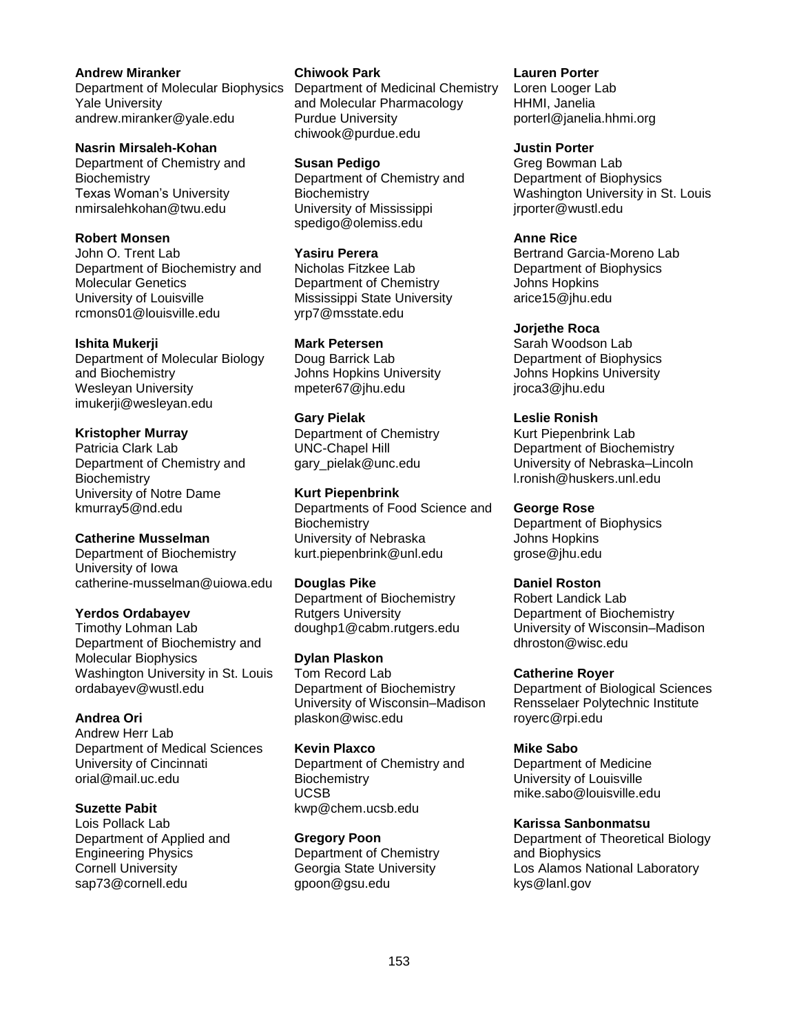**Andrew Miranker** Department of Molecular Biophysics Yale University andrew.miranker@yale.edu

**Nasrin Mirsaleh-Kohan** Department of Chemistry and **Biochemistry** Texas Woman's University nmirsalehkohan@twu.edu

**Robert Monsen** John O. Trent Lab Department of Biochemistry and Molecular Genetics University of Louisville rcmons01@louisville.edu

# **Ishita Mukerji**

Department of Molecular Biology and Biochemistry Wesleyan University imukerji@wesleyan.edu

## **Kristopher Murray**

Patricia Clark Lab Department of Chemistry and **Biochemistry** University of Notre Dame kmurray5@nd.edu

### **Catherine Musselman**

Department of Biochemistry University of Iowa catherine-musselman@uiowa.edu

### **Yerdos Ordabayev**

Timothy Lohman Lab Department of Biochemistry and Molecular Biophysics Washington University in St. Louis ordabayev@wustl.edu

### **Andrea Ori**

Andrew Herr Lab Department of Medical Sciences University of Cincinnati orial@mail.uc.edu

### **Suzette Pabit**

Lois Pollack Lab Department of Applied and Engineering Physics Cornell University sap73@cornell.edu

#### **Chiwook Park**

Department of Medicinal Chemistry and Molecular Pharmacology Purdue University chiwook@purdue.edu

**Susan Pedigo** Department of Chemistry and **Biochemistry** University of Mississippi spedigo@olemiss.edu

**Yasiru Perera**

Nicholas Fitzkee Lab Department of Chemistry Mississippi State University yrp7@msstate.edu

### **Mark Petersen**

Doug Barrick Lab Johns Hopkins University mpeter67@jhu.edu

### **Gary Pielak**

Department of Chemistry UNC-Chapel Hill gary\_pielak@unc.edu

### **Kurt Piepenbrink**

Departments of Food Science and **Biochemistry** University of Nebraska kurt.piepenbrink@unl.edu

### **Douglas Pike**

Department of Biochemistry **Rutgers University** doughp1@cabm.rutgers.edu

**Dylan Plaskon**

Tom Record Lab Department of Biochemistry University of Wisconsin–Madison plaskon@wisc.edu

**Kevin Plaxco** Department of Chemistry and **Biochemistry** UCSB kwp@chem.ucsb.edu

**Gregory Poon** Department of Chemistry Georgia State University gpoon@gsu.edu

**Lauren Porter** Loren Looger Lab HHMI, Janelia porterl@janelia.hhmi.org

**Justin Porter** Greg Bowman Lab Department of Biophysics Washington University in St. Louis jrporter@wustl.edu

**Anne Rice** Bertrand Garcia-Moreno Lab Department of Biophysics Johns Hopkins arice15@jhu.edu

**Jorjethe Roca**

Sarah Woodson Lab Department of Biophysics Johns Hopkins University jroca3@jhu.edu

### **Leslie Ronish**

Kurt Piepenbrink Lab Department of Biochemistry University of Nebraska–Lincoln l.ronish@huskers.unl.edu

#### **George Rose**

Department of Biophysics Johns Hopkins grose@jhu.edu

### **Daniel Roston**

Robert Landick Lab Department of Biochemistry University of Wisconsin–Madison dhroston@wisc.edu

### **Catherine Royer**

Department of Biological Sciences Rensselaer Polytechnic Institute royerc@rpi.edu

### **Mike Sabo**

Department of Medicine University of Louisville mike.sabo@louisville.edu

### **Karissa Sanbonmatsu**

Department of Theoretical Biology and Biophysics Los Alamos National Laboratory kys@lanl.gov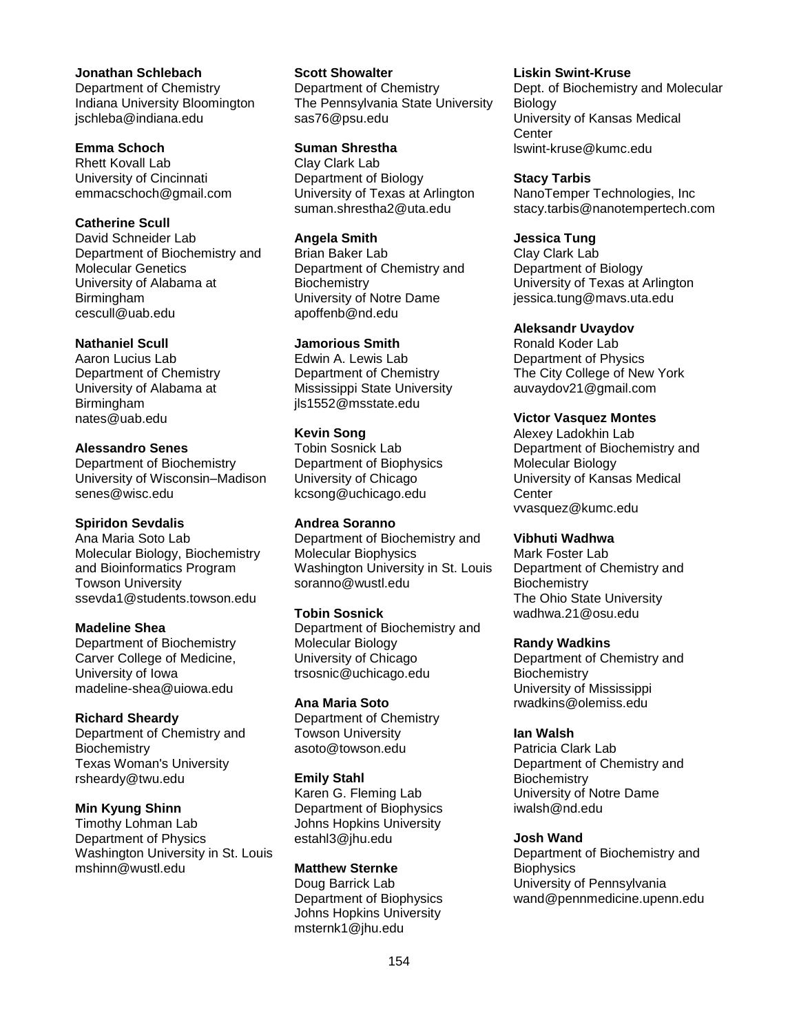#### **Jonathan Schlebach** Department of Chemistry Indiana University Bloomington jschleba@indiana.edu

**Emma Schoch**

Rhett Kovall Lab University of Cincinnati emmacschoch@gmail.com

### **Catherine Scull**

David Schneider Lab Department of Biochemistry and Molecular Genetics University of Alabama at Birmingham cescull@uab.edu

### **Nathaniel Scull**

Aaron Lucius Lab Department of Chemistry University of Alabama at Birmingham nates@uab.edu

### **Alessandro Senes** Department of Biochemistry

University of Wisconsin–Madison senes@wisc.edu

### **Spiridon Sevdalis**

Ana Maria Soto Lab Molecular Biology, Biochemistry and Bioinformatics Program Towson University ssevda1@students.towson.edu

### **Madeline Shea**

Department of Biochemistry Carver College of Medicine, University of Iowa madeline-shea@uiowa.edu

### **Richard Sheardy**

Department of Chemistry and **Biochemistry** Texas Woman's University rsheardy@twu.edu

### **Min Kyung Shinn**

Timothy Lohman Lab Department of Physics Washington University in St. Louis mshinn@wustl.edu

**Scott Showalter** Department of Chemistry The Pennsylvania State University sas76@psu.edu

**Suman Shrestha** Clay Clark Lab Department of Biology University of Texas at Arlington suman.shrestha2@uta.edu

**Angela Smith** Brian Baker Lab Department of Chemistry and **Biochemistry** University of Notre Dame apoffenb@nd.edu

### **Jamorious Smith**

Edwin A. Lewis Lab Department of Chemistry Mississippi State University jls1552@msstate.edu

**Kevin Song** Tobin Sosnick Lab Department of Biophysics University of Chicago kcsong@uchicago.edu

**Andrea Soranno** Department of Biochemistry and Molecular Biophysics Washington University in St. Louis soranno@wustl.edu

#### **Tobin Sosnick**

Department of Biochemistry and Molecular Biology University of Chicago trsosnic@uchicago.edu

#### **Ana Maria Soto**

Department of Chemistry Towson University asoto@towson.edu

#### **Emily Stahl**

Karen G. Fleming Lab Department of Biophysics Johns Hopkins University estahl3@jhu.edu

#### **Matthew Sternke**

Doug Barrick Lab Department of Biophysics Johns Hopkins University msternk1@jhu.edu

**Liskin Swint-Kruse**

Dept. of Biochemistry and Molecular **Biology** University of Kansas Medical **Center** lswint-kruse@kumc.edu

**Stacy Tarbis** NanoTemper Technologies, Inc stacy.tarbis@nanotempertech.com

#### **Jessica Tung**

Clay Clark Lab Department of Biology University of Texas at Arlington jessica.tung@mavs.uta.edu

#### **Aleksandr Uvaydov**

Ronald Koder Lab Department of Physics The City College of New York auvaydov21@gmail.com

#### **Victor Vasquez Montes**

Alexey Ladokhin Lab Department of Biochemistry and Molecular Biology University of Kansas Medical **Center** vvasquez@kumc.edu

### **Vibhuti Wadhwa**

Mark Foster Lab Department of Chemistry and **Biochemistry** The Ohio State University wadhwa.21@osu.edu

#### **Randy Wadkins**

Department of Chemistry and **Biochemistry** University of Mississippi rwadkins@olemiss.edu

### **Ian Walsh**

Patricia Clark Lab Department of Chemistry and **Biochemistry** University of Notre Dame iwalsh@nd.edu

### **Josh Wand**

Department of Biochemistry and **Biophysics** University of Pennsylvania wand@pennmedicine.upenn.edu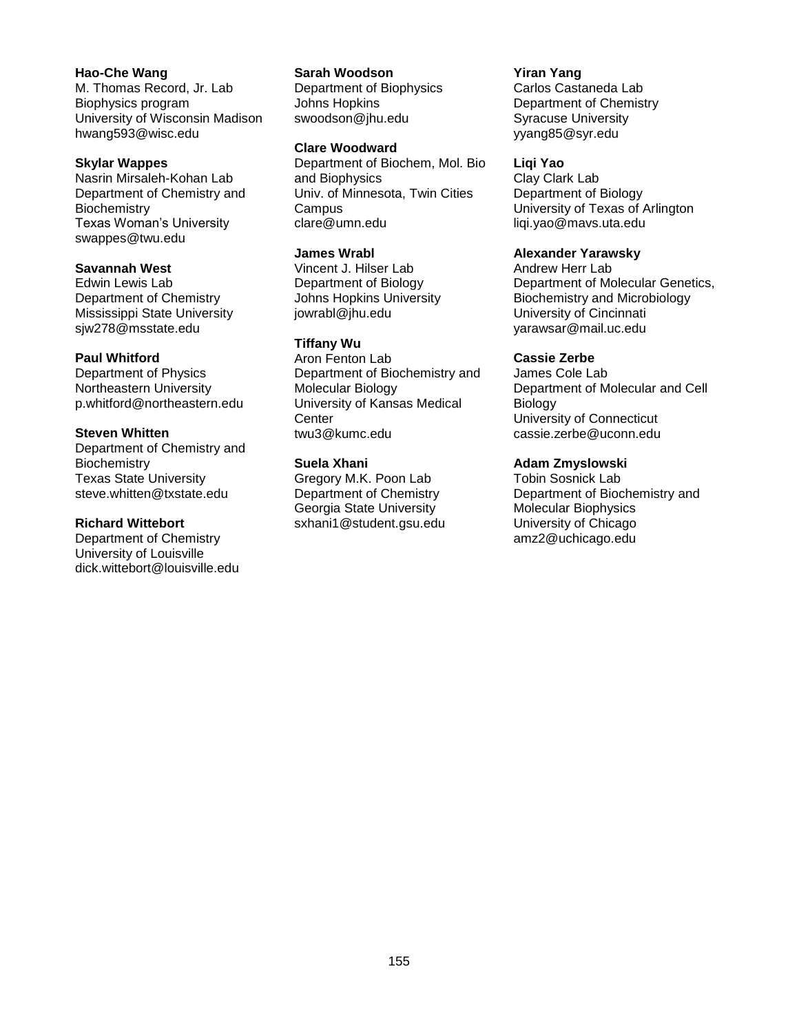**Hao-Che Wang** M. Thomas Record, Jr. Lab Biophysics program University of Wisconsin Madison hwang593@wisc.edu

#### **Skylar Wappes**

Nasrin Mirsaleh-Kohan Lab Department of Chemistry and **Biochemistry** Texas Woman's University swappes@twu.edu

### **Savannah West**

Edwin Lewis Lab Department of Chemistry Mississippi State University sjw278@msstate.edu

#### **Paul Whitford**

Department of Physics Northeastern University p.whitford@northeastern.edu

#### **Steven Whitten**

Department of Chemistry and **Biochemistry** Texas State University steve.whitten@txstate.edu

### **Richard Wittebort**

Department of Chemistry University of Louisville dick.wittebort@louisville.edu **Sarah Woodson**

Department of Biophysics Johns Hopkins swoodson@jhu.edu

#### **Clare Woodward**

Department of Biochem, Mol. Bio and Biophysics Univ. of Minnesota, Twin Cities **Campus** clare@umn.edu

### **James Wrabl**

Vincent J. Hilser Lab Department of Biology Johns Hopkins University jowrabl@jhu.edu

#### **Tiffany Wu**

Aron Fenton Lab Department of Biochemistry and Molecular Biology University of Kansas Medical **Center** twu3@kumc.edu

#### **Suela Xhani**

Gregory M.K. Poon Lab Department of Chemistry Georgia State University sxhani1@student.gsu.edu **Yiran Yang** Carlos Castaneda Lab Department of Chemistry Syracuse University yyang85@syr.edu

#### **Liqi Yao**

Clay Clark Lab Department of Biology University of Texas of Arlington liqi.yao@mavs.uta.edu

#### **Alexander Yarawsky**

Andrew Herr Lab Department of Molecular Genetics, Biochemistry and Microbiology University of Cincinnati yarawsar@mail.uc.edu

#### **Cassie Zerbe**

James Cole Lab Department of Molecular and Cell Biology University of Connecticut cassie.zerbe@uconn.edu

#### **Adam Zmyslowski**

Tobin Sosnick Lab Department of Biochemistry and Molecular Biophysics University of Chicago amz2@uchicago.edu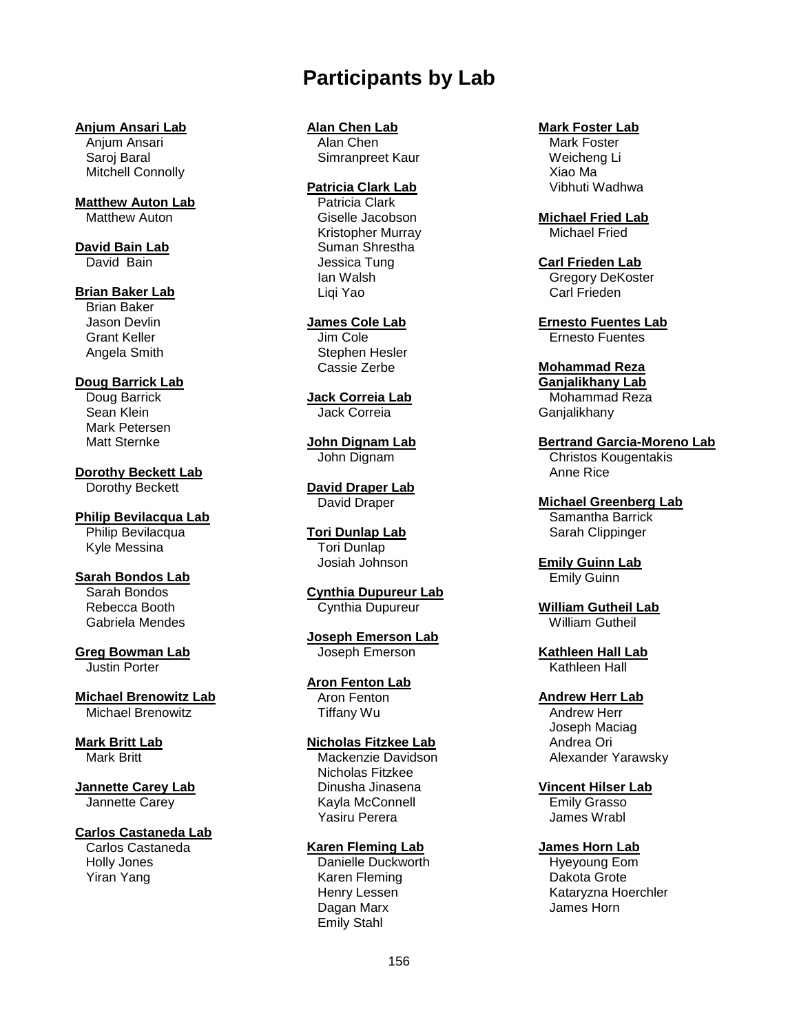# **Participants by Lab**

#### **Anjum Ansari Lab**

 Anjum Ansari Saroj Baral Mitchell Connolly

**Matthew Auton Lab** Matthew Auton

#### **David Bain Lab** David Bain

**Brian Baker Lab**

 Brian Baker Jason Devlin Grant Keller Angela Smith

### **Doug Barrick Lab**

 Doug Barrick Sean Klein Mark Petersen Matt Sternke

**Dorothy Beckett Lab** Dorothy Beckett

**Philip Bevilacqua Lab** Philip Bevilacqua Kyle Messina

**Sarah Bondos Lab** Sarah Bondos Rebecca Booth Gabriela Mendes

**Greg Bowman Lab** Justin Porter

**Michael Brenowitz Lab** Michael Brenowitz

**Mark Britt Lab** Mark Britt

#### **Jannette Carey Lab** Jannette Carey

### **Carlos Castaneda Lab**

 Carlos Castaneda Holly Jones Yiran Yang

## **Alan Chen Lab**

 Alan Chen Simranpreet Kaur

#### **Patricia Clark Lab**

 Patricia Clark Giselle Jacobson Kristopher Murray Suman Shrestha Jessica Tung Ian Walsh Liqi Yao

**James Cole Lab** Jim Cole

 Stephen Hesler Cassie Zerbe

**Jack Correia Lab** Jack Correia

**John Dignam Lab** John Dignam

**David Draper Lab** David Draper

**Tori Dunlap Lab** Tori Dunlap Josiah Johnson

**Cynthia Dupureur Lab** Cynthia Dupureur

**Joseph Emerson Lab** Joseph Emerson

**Aron Fenton Lab** Aron Fenton Tiffany Wu

### **Nicholas Fitzkee Lab**

 Mackenzie Davidson Nicholas Fitzkee Dinusha Jinasena Kayla McConnell Yasiru Perera

### **Karen Fleming Lab**

 Danielle Duckworth Karen Fleming Henry Lessen Dagan Marx Emily Stahl

### **Mark Foster Lab**

 Mark Foster Weicheng Li Xiao Ma Vibhuti Wadhwa

**Michael Fried Lab** Michael Fried

**Carl Frieden Lab** Gregory DeKoster Carl Frieden

**Ernesto Fuentes Lab** Ernesto Fuentes

**Mohammad Reza Ganjalikhany Lab**

 Mohammad Reza **Ganjalikhany** 

**Bertrand Garcia-Moreno Lab** Christos Kougentakis Anne Rice

**Michael Greenberg Lab** Samantha Barrick Sarah Clippinger

**Emily Guinn Lab** Emily Guinn

**William Gutheil Lab** William Gutheil

**Kathleen Hall Lab** Kathleen Hall

**Andrew Herr Lab** Andrew Herr Joseph Maciag Andrea Ori Alexander Yarawsky

**Vincent Hilser Lab** Emily Grasso James Wrabl

**James Horn Lab**

 Hyeyoung Eom Dakota Grote Kataryzna Hoerchler James Horn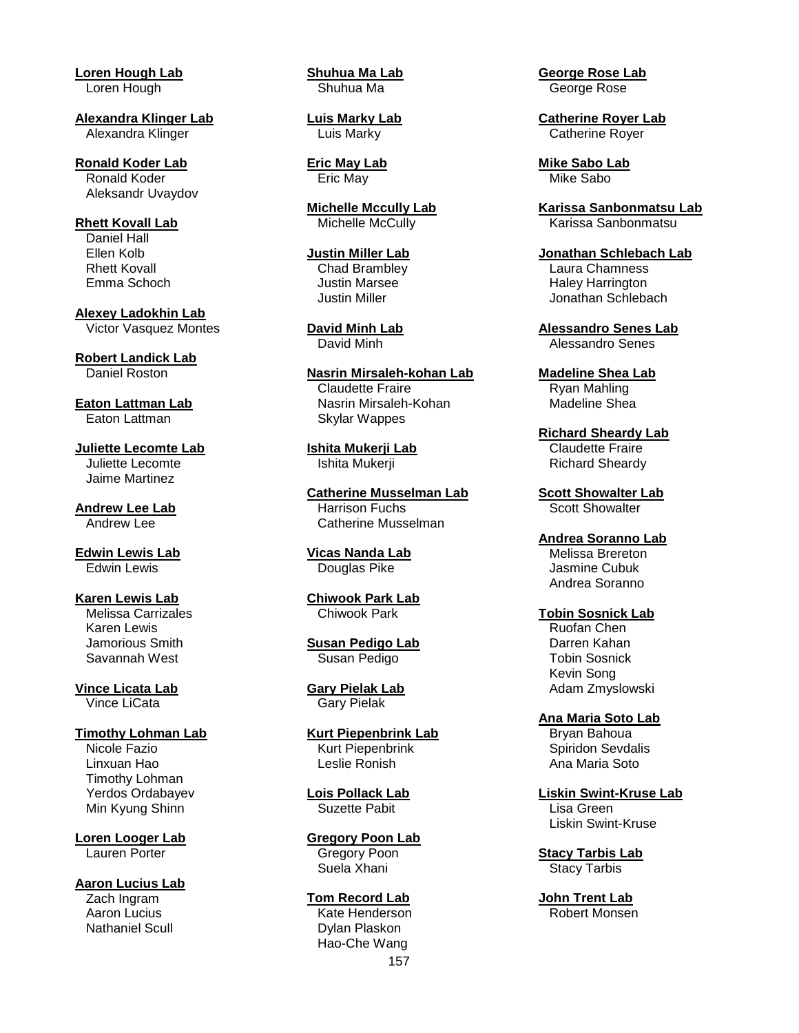**Loren Hough Lab** Loren Hough

**Alexandra Klinger Lab** Alexandra Klinger

**Ronald Koder Lab** Ronald Koder Aleksandr Uvaydov

**Rhett Kovall Lab** Daniel Hall Ellen Kolb Rhett Kovall Emma Schoch

**Alexey Ladokhin Lab** Victor Vasquez Montes

**Robert Landick Lab** Daniel Roston

**Eaton Lattman Lab** Eaton Lattman

**Juliette Lecomte Lab** Juliette Lecomte Jaime Martinez

**Andrew Lee Lab** Andrew Lee

**Edwin Lewis Lab** Edwin Lewis

**Karen Lewis Lab** Melissa Carrizales Karen Lewis Jamorious Smith Savannah West

**Vince Licata Lab** Vince LiCata

**Timothy Lohman Lab** Nicole Fazio Linxuan Hao Timothy Lohman Yerdos Ordabayev Min Kyung Shinn

**Loren Looger Lab** Lauren Porter

**Aaron Lucius Lab** Zach Ingram Aaron Lucius Nathaniel Scull

**Shuhua Ma Lab** Shuhua Ma

**Luis Marky Lab** Luis Marky

**Eric May Lab** Eric May

**Michelle Mccully Lab** Michelle McCully

**Justin Miller Lab** Chad Brambley Justin Marsee Justin Miller

**David Minh Lab** David Minh

**Nasrin Mirsaleh-kohan Lab** Claudette Fraire Nasrin Mirsaleh-Kohan Skylar Wappes

**Ishita Mukerji Lab** Ishita Mukerji

**Catherine Musselman Lab** Harrison Fuchs Catherine Musselman

**Vicas Nanda Lab** Douglas Pike

**Chiwook Park Lab** Chiwook Park

**Susan Pedigo Lab** Susan Pedigo

**Gary Pielak Lab** Gary Pielak

**Kurt Piepenbrink Lab** Kurt Piepenbrink Leslie Ronish

**Lois Pollack Lab** Suzette Pabit

**Gregory Poon Lab** Gregory Poon Suela Xhani

157 **Tom Record Lab** Kate Henderson Dylan Plaskon Hao-Che Wang

**George Rose Lab** George Rose

**Catherine Royer Lab** Catherine Royer

**Mike Sabo Lab** Mike Sabo

**Karissa Sanbonmatsu Lab** Karissa Sanbonmatsu

**Jonathan Schlebach Lab** Laura Chamness Haley Harrington Jonathan Schlebach

**Alessandro Senes Lab** Alessandro Senes

**Madeline Shea Lab** Ryan Mahling Madeline Shea

**Richard Sheardy Lab** Claudette Fraire Richard Sheardy

**Scott Showalter Lab** Scott Showalter

**Andrea Soranno Lab** Melissa Brereton Jasmine Cubuk Andrea Soranno

#### **Tobin Sosnick Lab**

 Ruofan Chen Darren Kahan Tobin Sosnick Kevin Song Adam Zmyslowski

**Ana Maria Soto Lab** Bryan Bahoua Spiridon Sevdalis Ana Maria Soto

**Liskin Swint-Kruse Lab** Lisa Green Liskin Swint-Kruse

**Stacy Tarbis Lab** Stacy Tarbis

**John Trent Lab** Robert Monsen